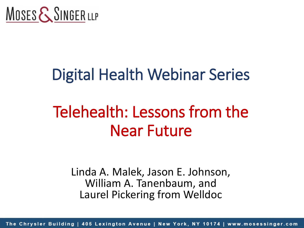

# Digital Health Webinar Series

# Telehealth: Lessons from the Near Future

Linda A. Malek, Jason E. Johnson, William A. Tanenbaum, and Laurel Pickering from Welldoc

The Chrysler Building | 405 Lexington Avenue | New York, NY 10174 | www.mosessinger.com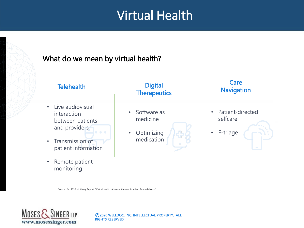## Virtual Health

#### What do we mean by virtual health?



Source: Feb 2020 McKinsey Report: "Virtual health: A look at the next frontier of care delivery"



©2020 WELLDOC, INC. INTELLECTUAL PROPERTY. ALL RIGHTS RESERVED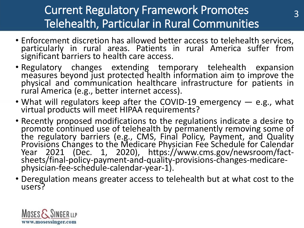#### Current Regulatory Framework Promotes Telehealth, Particular in Rural Communities

3

- Enforcement discretion has allowed better access to telehealth services, particularly in rural areas. Patients in rural America suffer from significant barriers to health care access.
- Regulatory changes extending temporary telehealth expansion measures beyond just protected health information aim to improve the physical and communication healthcare infrastructure for patients in rural America (e.g., better internet access).
- What will regulators keep after the COVID-19 emergency e.g., what virtual products will meet HIPAA requirements?
- Recently proposed modifications to the regulations indicate a desire to promote continued use of telehealth by permanently removing some of the regulatory barriers (e.g., CMS, Final Policy, Payment, and Quality Provisions Changes to the Medicare Physician Fee Schedule for Calendar Year 2021 (Dec. 1, 2020), https://www.cms.gov/newsroom/factsheets/final-policy-payment-and-quality-provisions-changes-medicarephysician-fee-schedule-calendar-year-1).
- Deregulation means greater access to telehealth but at what cost to the users?

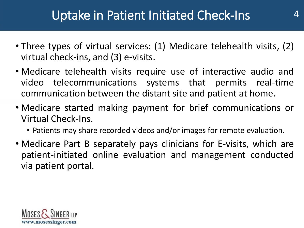- Three types of virtual services: (1) Medicare telehealth visits, (2) virtual check-ins, and (3) e-visits.
- Medicare telehealth visits require use of interactive audio and video telecommunications systems that permits real-time communication between the distant site and patient at home.
- Medicare started making payment for brief communications or Virtual Check-Ins.
	- Patients may share recorded videos and/or images for remote evaluation.
- Medicare Part B separately pays clinicians for E-visits, which are patient-initiated online evaluation and management conducted via patient portal.

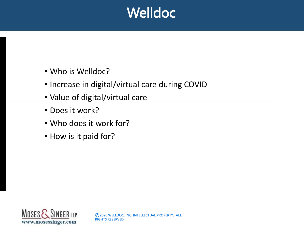## **Welldoc**

- Who is Welldoc?
- Increase in digital/virtual care during COVID
- Value of digital/virtual care
- Does it work?
- Who does it work for?
- How is it paid for?

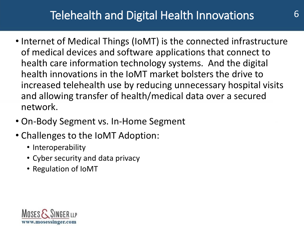#### Telehealth and Digital Health Innovations 6

- Internet of Medical Things (IoMT) is the connected infrastructure of medical devices and software applications that connect to health care information technology systems. And the digital health innovations in the IoMT market bolsters the drive to increased telehealth use by reducing unnecessary hospital visits and allowing transfer of health/medical data over a secured network.
- On-Body Segment vs. In-Home Segment
- Challenges to the IoMT Adoption:
	- Interoperability
	- Cyber security and data privacy
	- Regulation of IoMT

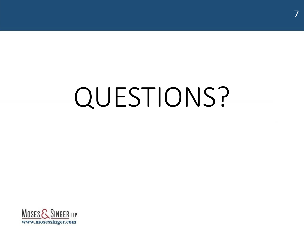# QUESTIONS?